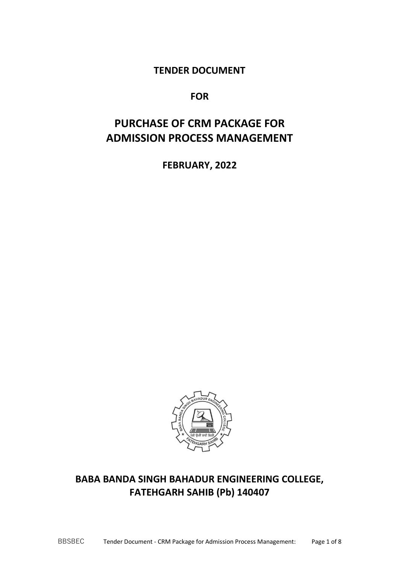**TENDER DOCUMENT**

**FOR**

# **PURCHASE OF CRM PACKAGE FOR ADMISSION PROCESS MANAGEMENT**

**FEBRUARY, 2022**



# **BABA BANDA SINGH BAHADUR ENGINEERING COLLEGE, FATEHGARH SAHIB (Pb) 140407**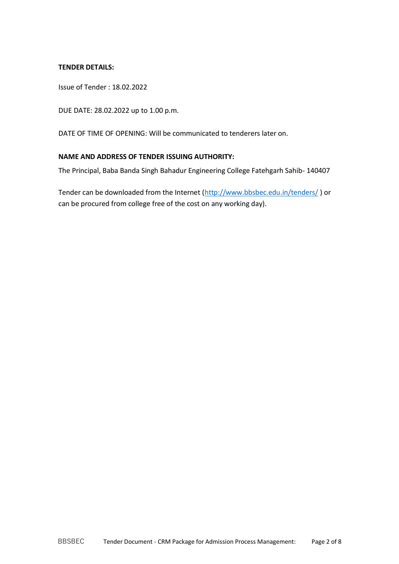#### **TENDER DETAILS:**

Issue of Tender : 18.02.2022

DUE DATE: 28.02.2022 up to 1.00 p.m.

DATE OF TIME OF OPENING: Will be communicated to tenderers later on.

#### **NAME AND ADDRESS OF TENDER ISSUING AUTHORITY:**

The Principal, Baba Banda Singh Bahadur Engineering College Fatehgarh Sahib- 140407

Tender can be downloaded from the Internet [\(http://www.bbsbec.edu.in/tenders/](http://www.bbsbec.edu.in/tenders/) ) or can be procured from college free of the cost on any working day).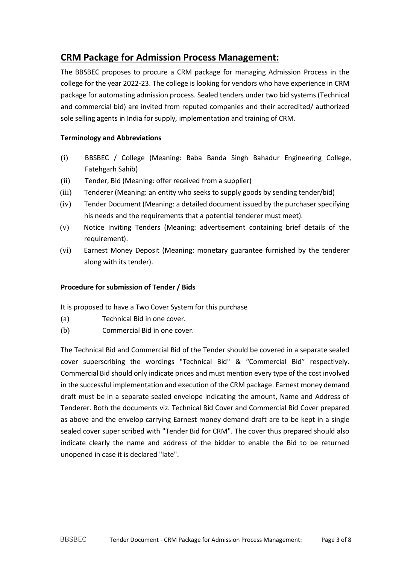# **CRM Package for Admission Process Management:**

The BBSBEC proposes to procure a CRM package for managing Admission Process in the college for the year 2022-23. The college is looking for vendors who have experience in CRM package for automating admission process. Sealed tenders under two bid systems (Technical and commercial bid) are invited from reputed companies and their accredited/ authorized sole selling agents in India for supply, implementation and training of CRM.

## **Terminology and Abbreviations**

- (i) BBSBEC / College (Meaning: Baba Banda Singh Bahadur Engineering College, Fatehgarh Sahib)
- (ii) Tender, Bid (Meaning: offer received from a supplier)
- (iii) Tenderer (Meaning: an entity who seeks to supply goods by sending tender/bid)
- (iv) Tender Document (Meaning: a detailed document issued by the purchaser specifying his needs and the requirements that a potential tenderer must meet).
- (v) Notice Inviting Tenders (Meaning: advertisement containing brief details of the requirement).
- (vi) Earnest Money Deposit (Meaning: monetary guarantee furnished by the tenderer along with its tender).

### **Procedure for submission of Tender / Bids**

It is proposed to have a Two Cover System for this purchase

- (a) Technical Bid in one cover.
- (b) Commercial Bid in one cover.

The Technical Bid and Commercial Bid of the Tender should be covered in a separate sealed cover superscribing the wordings "Technical Bid" & "Commercial Bid" respectively. Commercial Bid should only indicate prices and must mention every type of the cost involved in the successful implementation and execution of the CRM package. Earnest money demand draft must be in a separate sealed envelope indicating the amount, Name and Address of Tenderer. Both the documents viz. Technical Bid Cover and Commercial Bid Cover prepared as above and the envelop carrying Earnest money demand draft are to be kept in a single sealed cover super scribed with "Tender Bid for CRM". The cover thus prepared should also indicate clearly the name and address of the bidder to enable the Bid to be returned unopened in case it is declared "late".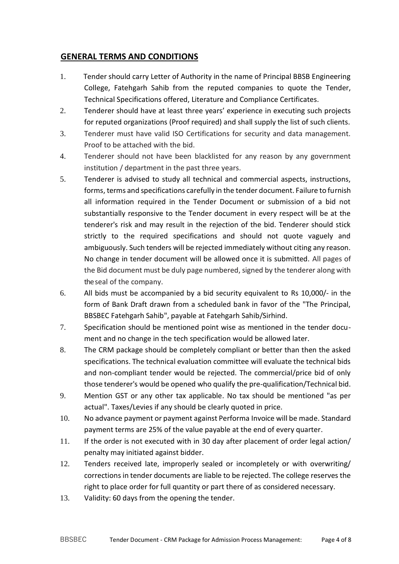# **GENERAL TERMS AND CONDITIONS**

- 1. Tender should carry Letter of Authority in the name of Principal BBSB Engineering College, Fatehgarh Sahib from the reputed companies to quote the Tender, Technical Specifications offered, Literature and Compliance Certificates.
- 2. Tenderer should have at least three years' experience in executing such projects for reputed organizations (Proof required) and shall supply the list of such clients.
- 3. Tenderer must have valid ISO Certifications for security and data management. Proof to be attached with the bid.
- 4. Tenderer should not have been blacklisted for any reason by any government institution / department in the past three years.
- 5. Tenderer is advised to study all technical and commercial aspects, instructions, forms, terms and specifications carefully in the tender document. Failure to furnish all information required in the Tender Document or submission of a bid not substantially responsive to the Tender document in every respect will be at the tenderer's risk and may result in the rejection of the bid. Tenderer should stick strictly to the required specifications and should not quote vaguely and ambiguously. Such tenders will be rejected immediately without citing any reason. No change in tender document will be allowed once it is submitted. All pages of the Bid document must be duly page numbered, signed by the tenderer along with the seal of the company.
- 6. All bids must be accompanied by a bid security equivalent to Rs 10,000/- in the form of Bank Draft drawn from a scheduled bank in favor of the "The Principal, BBSBEC Fatehgarh Sahib", payable at Fatehgarh Sahib/Sirhind.
- 7. Specification should be mentioned point wise as mentioned in the tender document and no change in the tech specification would be allowed later.
- 8. The CRM package should be completely compliant or better than then the asked specifications. The technical evaluation committee will evaluate the technical bids and non-compliant tender would be rejected. The commercial/price bid of only those tenderer's would be opened who qualify the pre-qualification/Technical bid.
- 9. Mention GST or any other tax applicable. No tax should be mentioned "as per actual". Taxes/Levies if any should be clearly quoted in price.
- 10. No advance payment or payment against Performa Invoice will be made. Standard payment terms are 25% of the value payable at the end of every quarter.
- 11. If the order is not executed with in 30 day after placement of order legal action/ penalty may initiated against bidder.
- 12. Tenders received late, improperly sealed or incompletely or with overwriting/ corrections in tender documents are liable to be rejected. The college reserves the right to place order for full quantity or part there of as considered necessary.
- 13. Validity: 60 days from the opening the tender.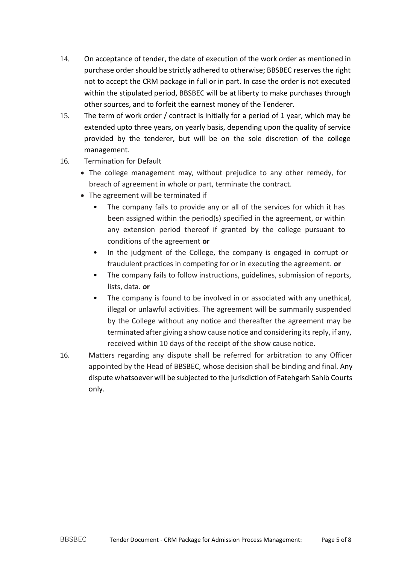- 14. On acceptance of tender, the date of execution of the work order as mentioned in purchase order should be strictly adhered to otherwise; BBSBEC reserves the right not to accept the CRM package in full or in part. In case the order is not executed within the stipulated period, BBSBEC will be at liberty to make purchases through other sources, and to forfeit the earnest money of the Tenderer.
- 15. The term of work order / contract is initially for a period of 1 year, which may be extended upto three years, on yearly basis, depending upon the quality of service provided by the tenderer, but will be on the sole discretion of the college management.
- 16. Termination for Default
	- The college management may, without prejudice to any other remedy, for breach of agreement in whole or part, terminate the contract.
	- The agreement will be terminated if
		- The company fails to provide any or all of the services for which it has been assigned within the period(s) specified in the agreement, or within any extension period thereof if granted by the college pursuant to conditions of the agreement **or**
		- In the judgment of the College, the company is engaged in corrupt or fraudulent practices in competing for or in executing the agreement. **or**
		- The company fails to follow instructions, guidelines, submission of reports, lists, data. **or**
		- The company is found to be involved in or associated with any unethical, illegal or unlawful activities. The agreement will be summarily suspended by the College without any notice and thereafter the agreement may be terminated after giving a show cause notice and considering its reply, if any, received within 10 days of the receipt of the show cause notice.
- 16. Matters regarding any dispute shall be referred for arbitration to any Officer appointed by the Head of BBSBEC, whose decision shall be binding and final. Any dispute whatsoever will be subjected to the jurisdiction of Fatehgarh Sahib Courts only.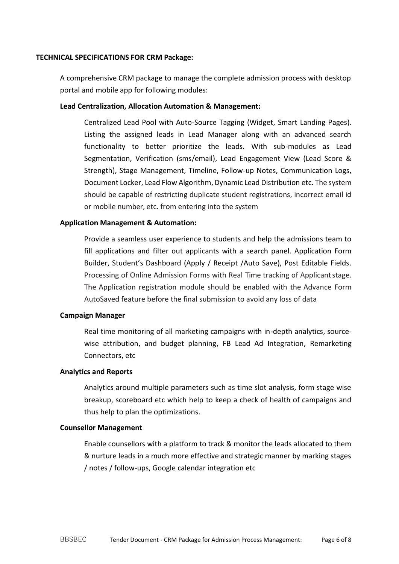#### **TECHNICAL SPECIFICATIONS FOR CRM Package:**

A comprehensive CRM package to manage the complete admission process with desktop portal and mobile app for following modules:

#### **Lead Centralization, Allocation Automation & Management:**

Centralized Lead Pool with Auto-Source Tagging (Widget, Smart Landing Pages). Listing the assigned leads in Lead Manager along with an advanced search functionality to better prioritize the leads. With sub-modules as Lead Segmentation, Verification (sms/email), Lead Engagement View (Lead Score & Strength), Stage Management, Timeline, Follow-up Notes, Communication Logs, Document Locker, Lead Flow Algorithm, Dynamic Lead Distribution etc. The system should be capable of restricting duplicate student registrations, incorrect email id or mobile number, etc. from entering into the system

### **Application Management & Automation:**

Provide a seamless user experience to students and help the admissions team to fill applications and filter out applicants with a search panel. Application Form Builder, Student's Dashboard (Apply / Receipt /Auto Save), Post Editable Fields. Processing of Online Admission Forms with Real Time tracking of Applicantstage. The Application registration module should be enabled with the Advance Form AutoSaved feature before the final submission to avoid any loss of data

#### **Campaign Manager**

Real time monitoring of all marketing campaigns with in-depth analytics, sourcewise attribution, and budget planning, FB Lead Ad Integration, Remarketing Connectors, etc

#### **Analytics and Reports**

Analytics around multiple parameters such as time slot analysis, form stage wise breakup, scoreboard etc which help to keep a check of health of campaigns and thus help to plan the optimizations.

#### **Counsellor Management**

Enable counsellors with a platform to track & monitor the leads allocated to them & nurture leads in a much more effective and strategic manner by marking stages / notes / follow-ups, Google calendar integration etc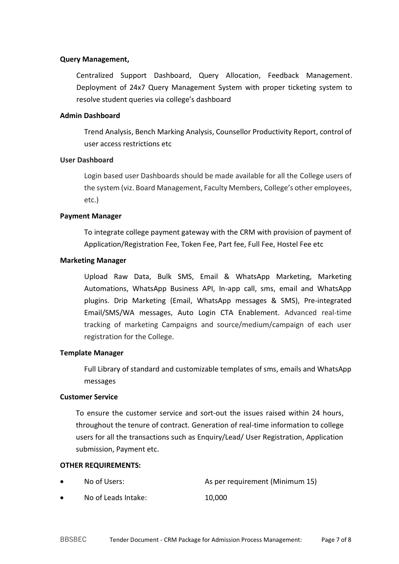#### **Query Management,**

Centralized Support Dashboard, Query Allocation, Feedback Management. Deployment of 24x7 Query Management System with proper ticketing system to resolve student queries via college's dashboard

#### **Admin Dashboard**

Trend Analysis, Bench Marking Analysis, Counsellor Productivity Report, control of user access restrictions etc

#### **User Dashboard**

Login based user Dashboards should be made available for all the College users of the system (viz. Board Management, Faculty Members, College's other employees, etc.)

#### **Payment Manager**

To integrate college payment gateway with the CRM with provision of payment of Application/Registration Fee, Token Fee, Part fee, Full Fee, Hostel Fee etc

#### **Marketing Manager**

Upload Raw Data, Bulk SMS, Email & WhatsApp Marketing, Marketing Automations, WhatsApp Business API, In-app call, sms, email and WhatsApp plugins. Drip Marketing (Email, WhatsApp messages & SMS), Pre-integrated Email/SMS/WA messages, Auto Login CTA Enablement. Advanced real-time tracking of marketing Campaigns and source/medium/campaign of each user registration for the College.

#### **Template Manager**

Full Library of standard and customizable templates of sms, emails and WhatsApp messages

#### **Customer Service**

To ensure the customer service and sort-out the issues raised within 24 hours, throughout the tenure of contract. Generation of real-time information to college users for all the transactions such as Enquiry/Lead/ User Registration, Application submission, Payment etc.

#### **OTHER REQUIREMENTS:**

- No of Users:  $\begin{array}{ccc} \text{No} & \text{A} & \text{B} \\ \text{A} & \text{B} & \text{B} \\ \text{B} & \text{C} & \text{A} \end{array}$
- No of Leads Intake: 10,000